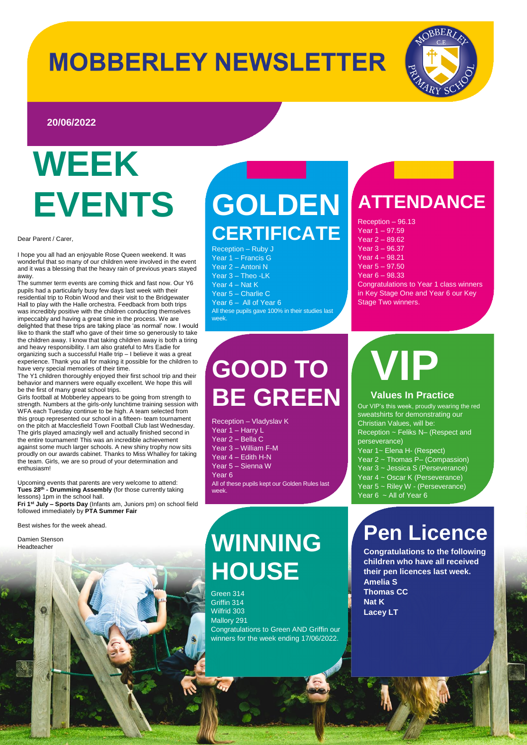## **MOBBERLEY NEWSLETTER**



### **20/06/2022**

## **WEEK EVENTS**

Dear Parent / Carer,

I hope you all had an enjoyable Rose Queen weekend. It was wonderful that so many of our children were involved in the event and it was a blessing that the heavy rain of previous years stayed away.

The summer term events are coming thick and fast now. Our Y6 pupils had a particularly busy few days last week with their residential trip to Robin Wood and their visit to the Bridgewater Hall to play with the Halle orchestra. Feedback from both trips was incredibly positive with the children conducting themselves impeccably and having a great time in the process. We are delighted that these trips are taking place 'as normal' now. I would like to thank the staff who gave of their time so generously to take the children away. I know that taking children away is both a tiring and heavy responsibility. I am also grateful to Mrs Eadie for organizing such a successful Halle trip – I believe it was a great experience. Thank you all for making it possible for the children to have very special memories of their time.

The Y1 children thoroughly enjoyed their first school trip and their behavior and manners were equally excellent. We hope this will be the first of many great school trips.

Girls football at Mobberley appears to be going from strength to strength. Numbers at the girls-only lunchtime training session with WFA each Tuesday continue to be high. A team selected from this group represented our school in a fifteen- team tournament on the pitch at Macclesfield Town Football Club last Wednesday. The girls played amazingly well and actually finished second in the entire tournament! This was an incredible achievement against some much larger schools. A new shiny trophy now sits proudly on our awards cabinet. Thanks to Miss Whalley for taking the team. Girls, we are so proud of your determination and enthusiasm!

Upcoming events that parents are very welcome to attend: **Tues 28th - Drumming Assembly** (for those currently taking lessons) 1pm in the school hall.

**Fri 1st July – Sports Day** (Infants am, Juniors pm) on school field followed immediately by **PTA Summer Fair**

Best wishes for the week ahead.

Damien Stenson **Headteacher** 

## **GOLDEN CERTIFICATE**

Reception – Ruby J Year 1 – Francis G Year 2 – Antoni N Year 3 – Theo -LK Year 4 – Nat K Year 5 – Charlie C Year 6 – All of Year 6 All these pupils gave 100% in their studies last week.

## **GOOD TO BE GREEN**

Reception – Vladyslav K Year 1 – Harry L Year 2 – Bella C Year 3 – William F-M Year 4 – Edith H-N Year 5 – Sienna W Year 6 All of these pupils kept our Golden Rules last week.

## **WINNING HOUSE**

Green 314 Griffin 314 Wilfrid 303 Mallory 291 Congratulations to Green AND Griffin our winners for the week ending 17/06/2022.

### **ATTENDANCE**

Reception – 96.13 Year 1 – 97.59 Year 2 – 89.62 Year 3 – 96.37 Year 4 – 98.21 Year 5 – 97.50 Year 6 – 98.33 Congratulations to Year 1 class winners in Key Stage One and Year 6 our Key Stage Two winners.

# **VIP**

### **Values In Practice**

Our VIP's this week, proudly wearing the red sweatshirts for demonstrating our Christian Values, will be: Reception ~ Feliks N– (Respect and perseverance) .<br>Year 1~ Elena H- (Respect) Year 2 ~ Thomas P- (Compassion) Year 3 ~ Jessica S (Perseverance) Year 4 ~ Oscar K (Perseverance) Year 5 ~ Riley W - (Perseverance) Year 6 ~ All of Year 6

### **Pen Licence**

**Congratulations to the following children who have all received their pen licences last week. Amelia S Thomas CC Nat K Lacey LT**